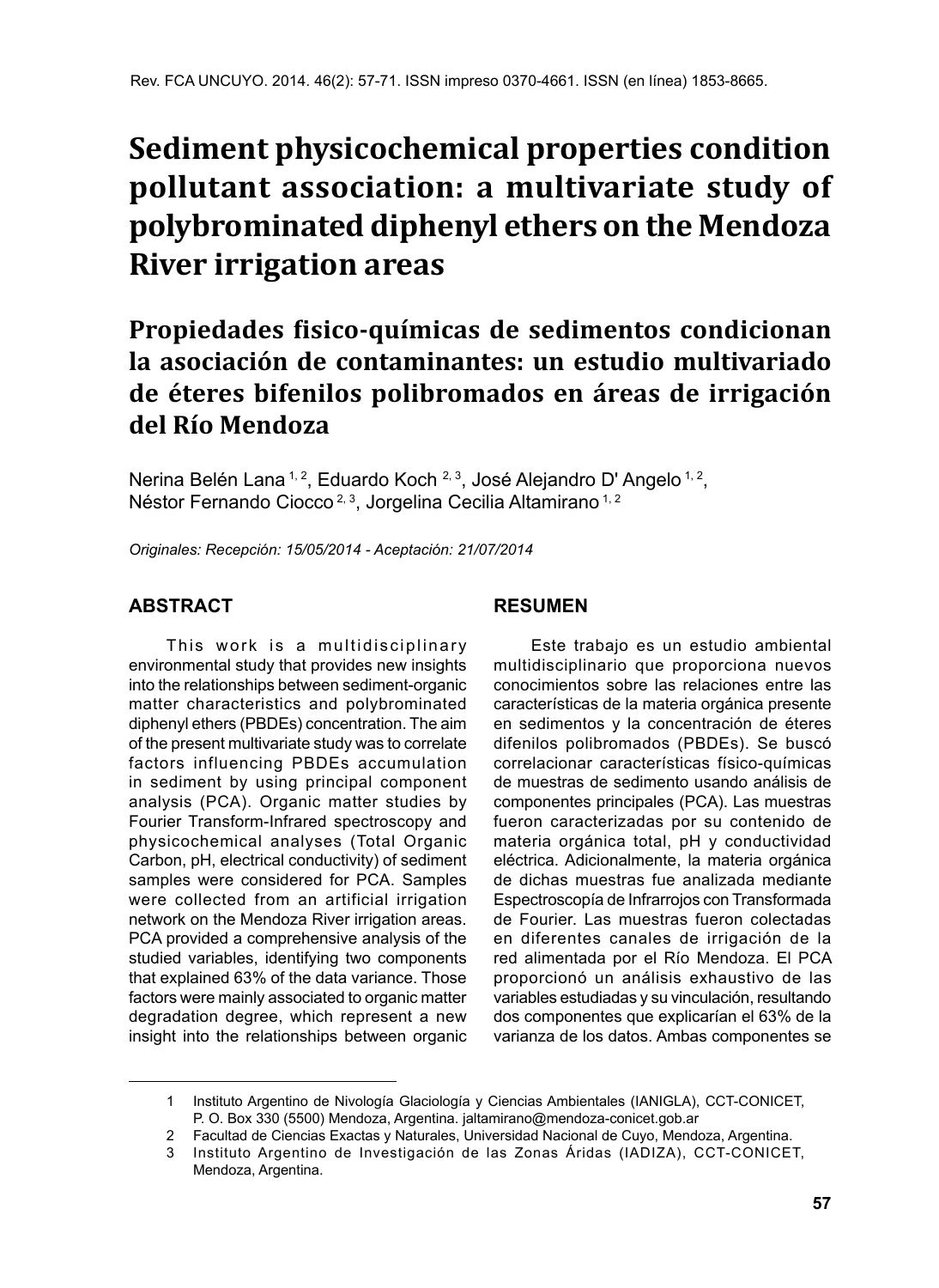## **Sediment physicochemical properties condition pollutant association: a multivariate study of polybrominated diphenyl ethers on the Mendoza River irrigation areas**

### **Propiedades fisico-químicas de sedimentos condicionan la asociación de contaminantes: un estudio multivariado de éteres bifenilos polibromados en áreas de irrigación del Río Mendoza**

Nerina Belén Lana<sup>1, 2</sup>, Eduardo Koch <sup>2, 3</sup>, José Alejandro D' Angelo <sup>1, 2</sup>, Néstor Fernando Ciocco<sup>2, 3</sup>, Jorgelina Cecilia Altamirano<sup>1, 2</sup>

*Originales: Recepción: 15/05/2014 - Aceptación: 21/07/2014*

#### **ABSTRACT**

This work is a multidisciplinary environmental study that provides new insights into the relationships between sediment-organic matter characteristics and polybrominated diphenyl ethers (PBDEs) concentration. The aim of the present multivariate study was to correlate factors influencing PBDEs accumulation in sediment by using principal component analysis (PCA). Organic matter studies by Fourier Transform-Infrared spectroscopy and physicochemical analyses (Total Organic Carbon, pH, electrical conductivity) of sediment samples were considered for PCA. Samples were collected from an artificial irrigation network on the Mendoza River irrigation areas. PCA provided a comprehensive analysis of the studied variables, identifying two components that explained 63% of the data variance. Those factors were mainly associated to organic matter degradation degree, which represent a new insight into the relationships between organic

#### **RESUMEN**

Este trabajo es un estudio ambiental multidisciplinario que proporciona nuevos conocimientos sobre las relaciones entre las características de la materia orgánica presente en sedimentos y la concentración de éteres difenilos polibromados (PBDEs). Se buscó correlacionar características físico-químicas de muestras de sedimento usando análisis de componentes principales (PCA). Las muestras fueron caracterizadas por su contenido de materia orgánica total, pH y conductividad eléctrica. Adicionalmente, la materia orgánica de dichas muestras fue analizada mediante Espectroscopía de Infrarrojos con Transformada de Fourier. Las muestras fueron colectadas en diferentes canales de irrigación de la red alimentada por el Río Mendoza. El PCA proporcionó un análisis exhaustivo de las variables estudiadas y su vinculación, resultando dos componentes que explicarían el 63% de la varianza de los datos. Ambas componentes se

<sup>1</sup> Instituto Argentino de Nivología Glaciología y Ciencias Ambientales (IANIGLA), CCT-CONICET, P. O. Box 330 (5500) Mendoza, Argentina. jaltamirano@mendoza-conicet.gob.ar

<sup>2</sup> Facultad de Ciencias Exactas y Naturales, Universidad Nacional de Cuyo, Mendoza, Argentina.

<sup>3</sup> Instituto Argentino de Investigación de las Zonas Áridas (IADIZA), CCT-CONICET, Mendoza, Argentina.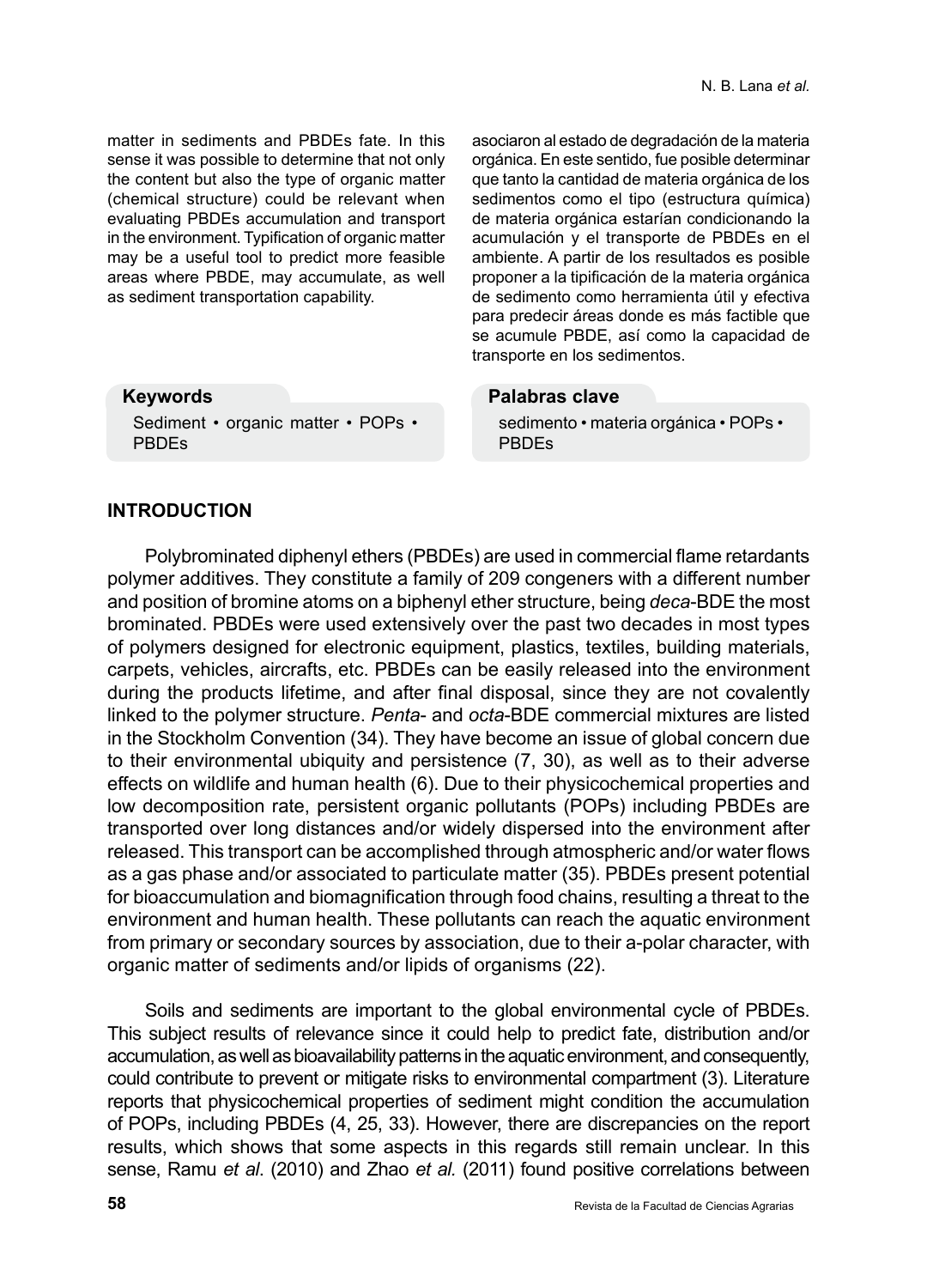matter in sediments and PBDEs fate. In this sense it was possible to determine that not only the content but also the type of organic matter (chemical structure) could be relevant when evaluating PBDEs accumulation and transport in the environment. Typification of organic matter may be a useful tool to predict more feasible areas where PBDE, may accumulate, as well as sediment transportation capability.

Sediment • organic matter • POPs •

asociaron al estado de degradación de la materia orgánica. En este sentido, fue posible determinar que tanto la cantidad de materia orgánica de los sedimentos como el tipo (estructura química) de materia orgánica estarían condicionando la acumulación y el transporte de PBDEs en el ambiente. A partir de los resultados es posible proponer a la tipificación de la materia orgánica de sedimento como herramienta útil y efectiva para predecir áreas donde es más factible que se acumule PBDE, así como la capacidad de transporte en los sedimentos.

#### **Palabras clave**

sedimento • materia orgánica • POPs • PBDEs

# **INTRODUCTION**

PBDEs

**Keywords**

Polybrominated diphenyl ethers (PBDEs) are used in commercial flame retardants polymer additives. They constitute a family of 209 congeners with a different number and position of bromine atoms on a biphenyl ether structure, being *deca*-BDE the most brominated. PBDEs were used extensively over the past two decades in most types of polymers designed for electronic equipment, plastics, textiles, building materials, carpets, vehicles, aircrafts, etc. PBDEs can be easily released into the environment during the products lifetime, and after final disposal, since they are not covalently linked to the polymer structure. *Penta*- and *octa*-BDE commercial mixtures are listed in the Stockholm Convention (34). They have become an issue of global concern due to their environmental ubiquity and persistence (7, 30), as well as to their adverse effects on wildlife and human health (6). Due to their physicochemical properties and low decomposition rate, persistent organic pollutants (POPs) including PBDEs are transported over long distances and/or widely dispersed into the environment after released. This transport can be accomplished through atmospheric and/or water flows as a gas phase and/or associated to particulate matter (35). PBDEs present potential for bioaccumulation and biomagnification through food chains, resulting a threat to the environment and human health. These pollutants can reach the aquatic environment from primary or secondary sources by association, due to their a-polar character, with organic matter of sediments and/or lipids of organisms (22).

Soils and sediments are important to the global environmental cycle of PBDEs. This subject results of relevance since it could help to predict fate, distribution and/or accumulation, as well as bioavailability patterns in the aquatic environment, and consequently, could contribute to prevent or mitigate risks to environmental compartment (3). Literature reports that physicochemical properties of sediment might condition the accumulation of POPs, including PBDEs (4, 25, 33). However, there are discrepancies on the report results, which shows that some aspects in this regards still remain unclear. In this sense, Ramu *et al*. (2010) and Zhao *et al.* (2011) found positive correlations between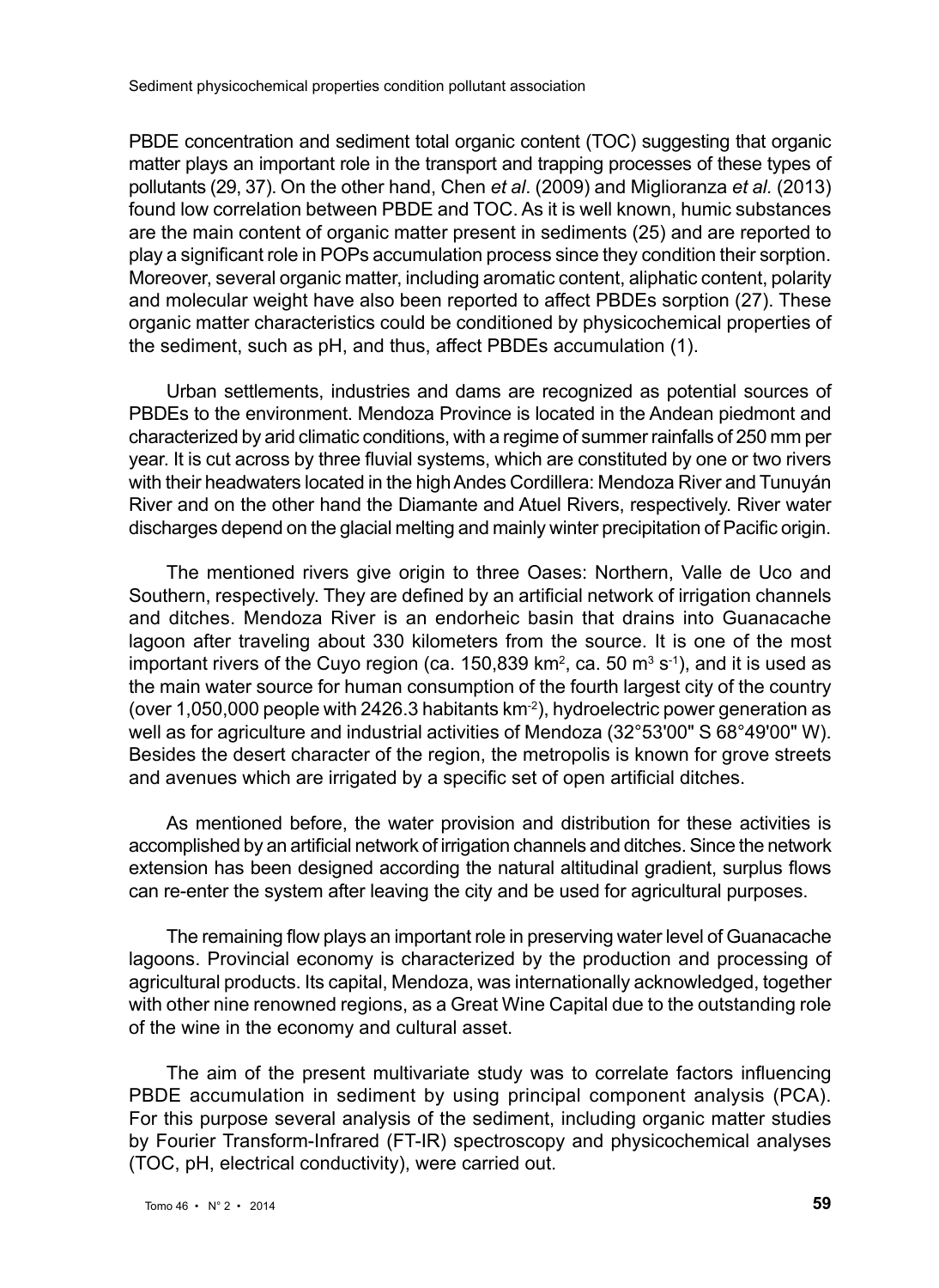PBDE concentration and sediment total organic content (TOC) suggesting that organic matter plays an important role in the transport and trapping processes of these types of pollutants (29, 37). On the other hand, Chen *et al*. (2009) and Miglioranza *et al.* (2013) found low correlation between PBDE and TOC. As it is well known, humic substances are the main content of organic matter present in sediments (25) and are reported to play a significant role in POPs accumulation process since they condition their sorption. Moreover, several organic matter, including aromatic content, aliphatic content, polarity and molecular weight have also been reported to affect PBDEs sorption (27). These organic matter characteristics could be conditioned by physicochemical properties of the sediment, such as pH, and thus, affect PBDEs accumulation (1).

Urban settlements, industries and dams are recognized as potential sources of PBDEs to the environment. Mendoza Province is located in the Andean piedmont and characterized by arid climatic conditions, with a regime of summer rainfalls of 250 mm per year. It is cut across by three fluvial systems, which are constituted by one or two rivers with their headwaters located in the high Andes Cordillera: Mendoza River and Tunuyán River and on the other hand the Diamante and Atuel Rivers, respectively. River water discharges depend on the glacial melting and mainly winter precipitation of Pacific origin.

The mentioned rivers give origin to three Oases: Northern, Valle de Uco and Southern, respectively. They are defined by an artificial network of irrigation channels and ditches. Mendoza River is an endorheic basin that drains into Guanacache lagoon after traveling about 330 kilometers from the source. It is one of the most important rivers of the Cuyo region (ca. 150,839 km², ca. 50 mª s<sup>-1</sup>), and it is used as the main water source for human consumption of the fourth largest city of the country (over 1,050,000 people with 2426.3 habitants  $km<sup>-2</sup>$ ), hydroelectric power generation as well as for agriculture and industrial activities of Mendoza (32°53'00" S 68°49'00" W). Besides the desert character of the region, the metropolis is known for grove streets and avenues which are irrigated by a specific set of open artificial ditches.

As mentioned before, the water provision and distribution for these activities is accomplished by an artificial network of irrigation channels and ditches. Since the network extension has been designed according the natural altitudinal gradient, surplus flows can re-enter the system after leaving the city and be used for agricultural purposes.

The remaining flow plays an important role in preserving water level of Guanacache lagoons. Provincial economy is characterized by the production and processing of agricultural products. Its capital, Mendoza, was internationally acknowledged, together with other nine renowned regions, as a Great Wine Capital due to the outstanding role of the wine in the economy and cultural asset.

The aim of the present multivariate study was to correlate factors influencing PBDE accumulation in sediment by using principal component analysis (PCA). For this purpose several analysis of the sediment, including organic matter studies by Fourier Transform-Infrared (FT-IR) spectroscopy and physicochemical analyses (TOC, pH, electrical conductivity), were carried out.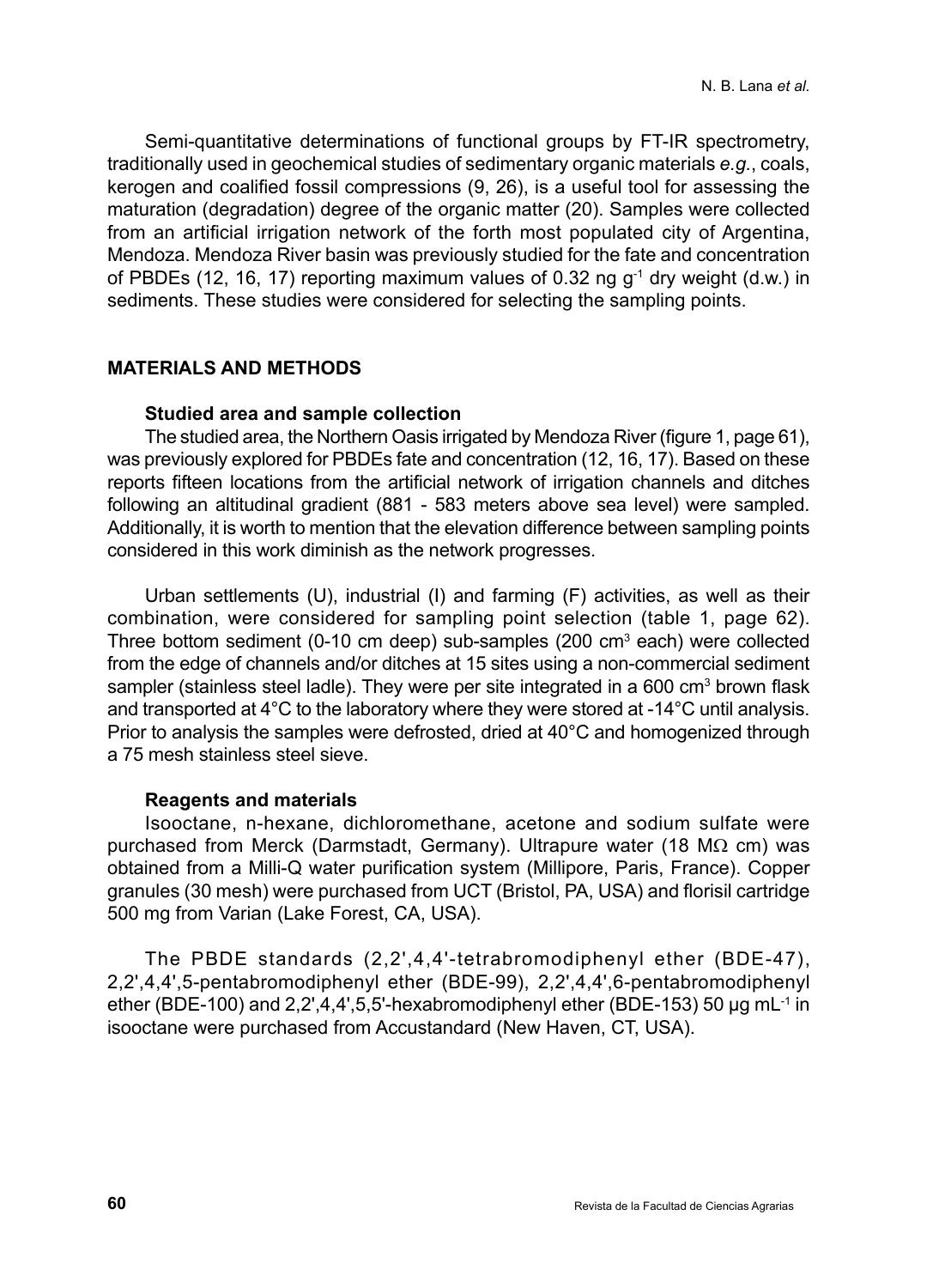Semi-quantitative determinations of functional groups by FT-IR spectrometry, traditionally used in geochemical studies of sedimentary organic materials *e.g.*, coals, kerogen and coalified fossil compressions (9, 26), is a useful tool for assessing the maturation (degradation) degree of the organic matter (20). Samples were collected from an artificial irrigation network of the forth most populated city of Argentina, Mendoza. Mendoza River basin was previously studied for the fate and concentration of PBDEs (12, 16, 17) reporting maximum values of 0.32 ng  $q^{-1}$  dry weight (d.w.) in sediments. These studies were considered for selecting the sampling points.

#### **MATERIALS AND METHODS**

#### **Studied area and sample collection**

The studied area, the Northern Oasis irrigated by Mendoza River (figure 1, page 61), was previously explored for PBDEs fate and concentration (12, 16, 17). Based on these reports fifteen locations from the artificial network of irrigation channels and ditches following an altitudinal gradient (881 - 583 meters above sea level) were sampled. Additionally, it is worth to mention that the elevation difference between sampling points considered in this work diminish as the network progresses.

Urban settlements (U), industrial (I) and farming (F) activities, as well as their combination, were considered for sampling point selection (table 1, page 62). Three bottom sediment (0-10 cm deep) sub-samples (200 cm<sup>3</sup> each) were collected from the edge of channels and/or ditches at 15 sites using a non-commercial sediment sampler (stainless steel ladle). They were per site integrated in a 600  $\text{cm}^3$  brown flask and transported at 4°C to the laboratory where they were stored at -14°C until analysis. Prior to analysis the samples were defrosted, dried at 40°C and homogenized through a 75 mesh stainless steel sieve.

#### **Reagents and materials**

Isooctane, n-hexane, dichloromethane, acetone and sodium sulfate were purchased from Merck (Darmstadt, Germany). Ultrapure water (18 MΩ cm) was obtained from a Milli-Q water purification system (Millipore, Paris, France). Copper granules (30 mesh) were purchased from UCT (Bristol, PA, USA) and florisil cartridge 500 mg from Varian (Lake Forest, CA, USA).

The PBDE standards (2,2',4,4'-tetrabromodiphenyl ether (BDE-47), 2,2',4,4',5-pentabromodiphenyl ether (BDE-99), 2,2',4,4',6-pentabromodiphenyl ether (BDE-100) and 2,2',4,4',5,5'-hexabromodiphenyl ether (BDE-153) 50 µg mL<sup>-1</sup> in isooctane were purchased from Accustandard (New Haven, CT, USA).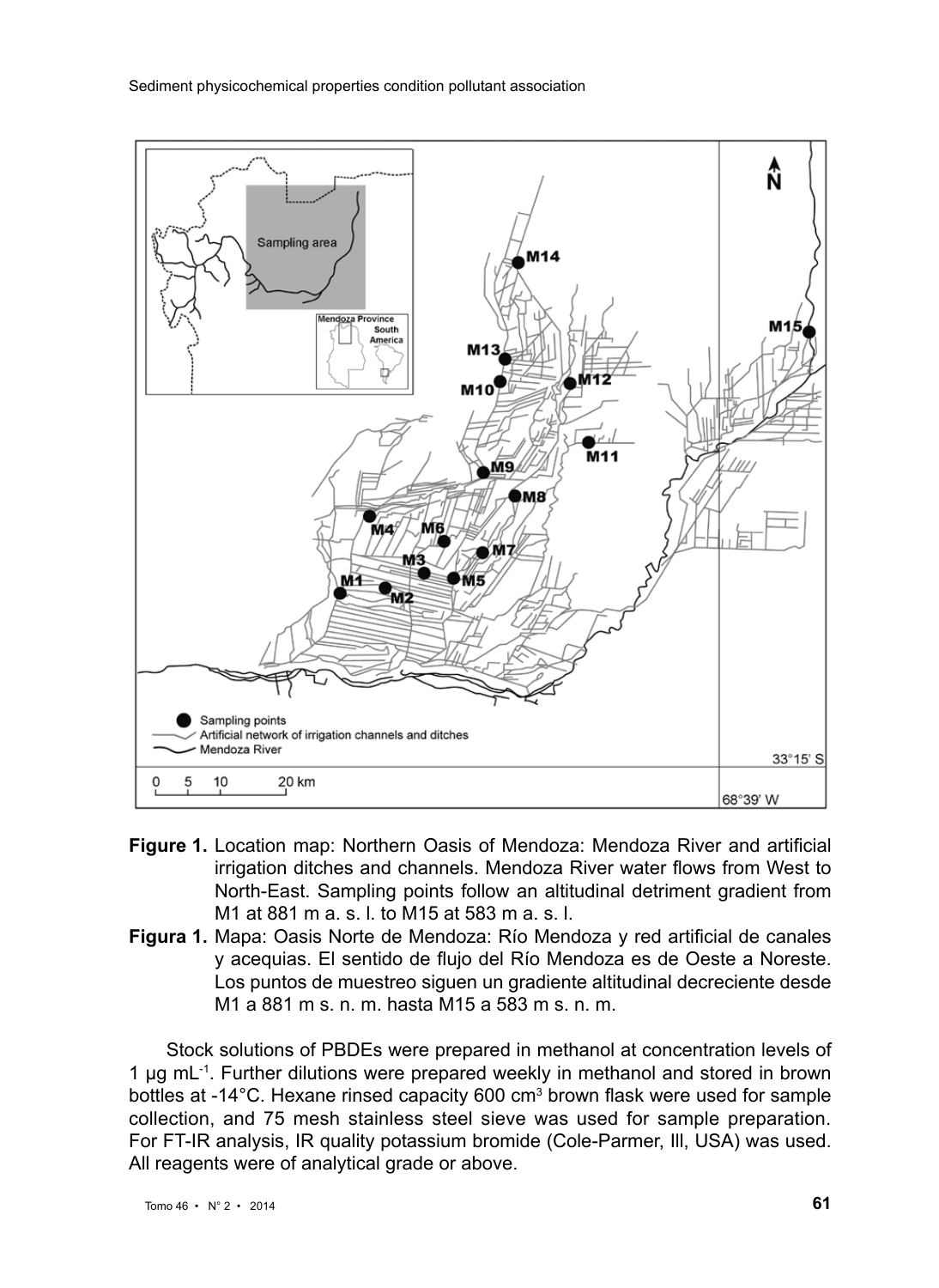

- **Figure 1.** Location map: Northern Oasis of Mendoza: Mendoza River and artificial irrigation ditches and channels. Mendoza River water flows from West to North-East. Sampling points follow an altitudinal detriment gradient from M1 at 881 m a. s. l. to M15 at 583 m a. s. l.
- **Figura 1.** Mapa: Oasis Norte de Mendoza: Río Mendoza y red artificial de canales y acequias. El sentido de flujo del Río Mendoza es de Oeste a Noreste. Los puntos de muestreo siguen un gradiente altitudinal decreciente desde M1 a 881 m s. n. m. hasta M15 a 583 m s. n. m.

Stock solutions of PBDEs were prepared in methanol at concentration levels of 1 µg mL<sup>-1</sup>. Further dilutions were prepared weekly in methanol and stored in brown bottles at -14°C. Hexane rinsed capacity 600 cm<sup>3</sup> brown flask were used for sample collection, and 75 mesh stainless steel sieve was used for sample preparation. For FT-IR analysis, IR quality potassium bromide (Cole-Parmer, Ill, USA) was used. All reagents were of analytical grade or above.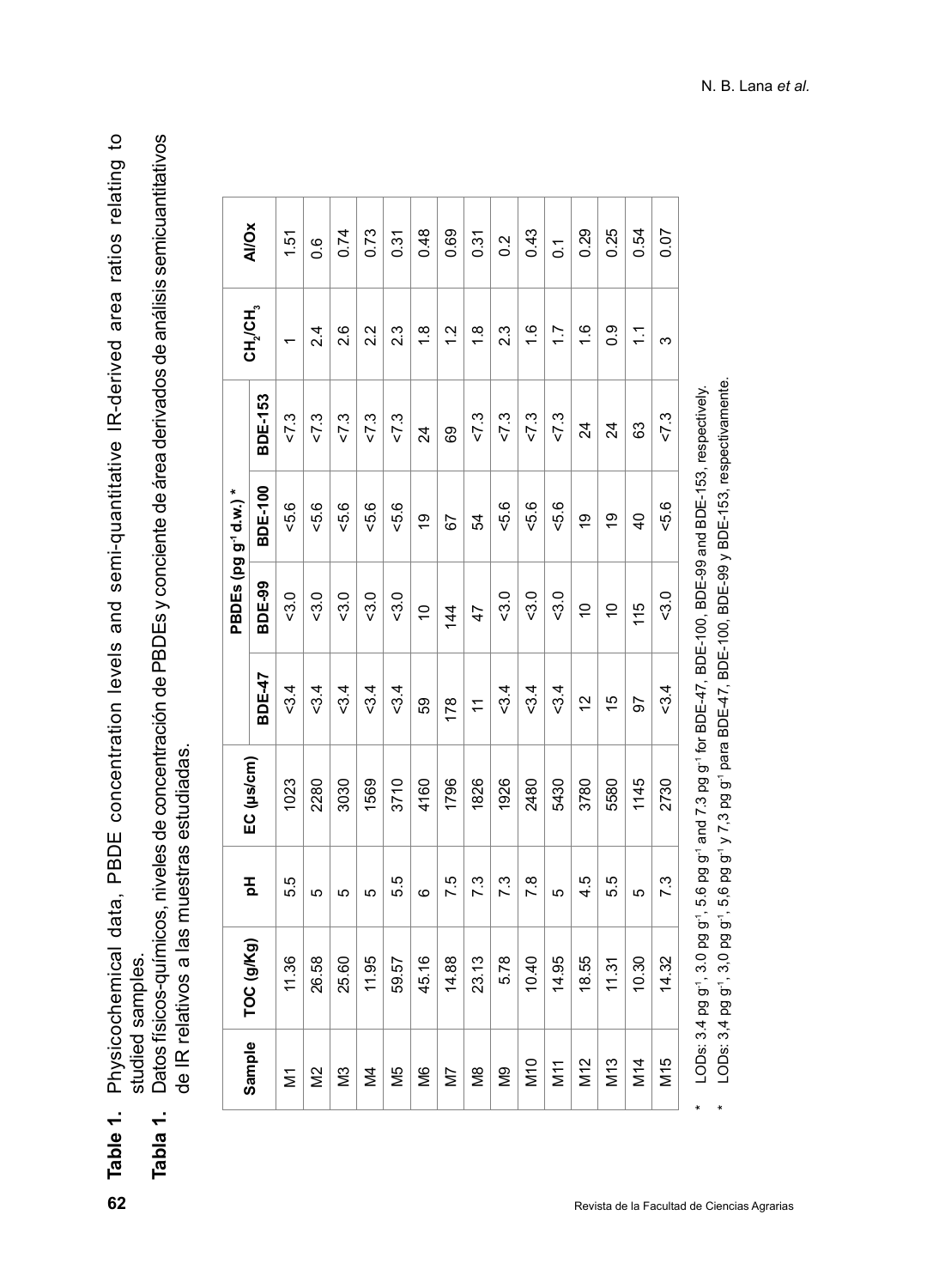**Table 1.** Physicochemical data, PBDE concentration levels and semi-quantitative IR-derived area ratios relating to Physicochemical data, PBDE concentration levels and semi-quantitative IR-derived area ratios relating to studied samples. studied samples. Table 1.

**Tabla 1.** Datos físicos-químicos, niveles de concentración de PBDEs y conciente de área derivados de análisis semicuantitativos Datos físicos-químicos, niveles de concentración de PBDEs y conciente de área derivados de análisis semicuantitativos de IR relativos a las muestras estudiadas. de IR relativos a las muestras estudiadas. Tabla 1.

|                 |            |                   |            |                |               | PBDEs (pg g <sup>-1</sup> d.w.)* |                 |                                  |                |
|-----------------|------------|-------------------|------------|----------------|---------------|----------------------------------|-----------------|----------------------------------|----------------|
| Sample          | TOC (g/Kg) | 玉                 | EC (us/cm) | BDE-47         | BDE-99        | <b>BDE-100</b>                   | <b>BDE-153</b>  | CH <sub>2</sub> /CH <sub>3</sub> | <b>AI/Ox</b>   |
| Σ               | 11.36      | 5.5               | 1023       | 3.4            | $-3.0$        | -5.6                             | 5.1             | $\overline{\phantom{0}}$         | 1.51           |
| Μ2              | 26.58      | Ю                 | 2280       | $-3.4$         | $-3.0$        | 5.6                              | 5.1             | $\frac{4}{2}$                    | 0.6            |
| Μ3              | 25.60      | Ю                 | 3030       | 5.4            | $-3.0$        | $-5.6$                           | 5.2             | 2.6                              | 0.74           |
| $\geq$          | 11.95      | Ю                 | 1569       | $-3.4$         | $-3.0$        | -5.6                             | $5 - 2$         | 2.2                              | 0.73           |
| Μ5<br>Μ         | 59.57      | 55                | 3710       | $-3.4$         | $-3.0$        | $-5.6$                           | $5 - 2$         | 23                               | 0.31           |
| Й6              | 45.16      | ဖ                 | 4160       | 59             | ó             | ë                                | $\overline{24}$ | $\frac{8}{1}$                    | 0.48           |
| N7              | 14.88      | 7.5               | 1796       | 178            | $\frac{4}{4}$ | 67                               | 69              | $\frac{2}{1}$                    | 0.69           |
| М8              | 23.13      | 7.3               | 1826       | $\overline{r}$ | 47            | 54                               | 5.2             | $\frac{8}{1}$                    | 0.31           |
| δg              | 5.78       | $\overline{7}$ .3 | 1926       | $-3.4$         | $-3.0$        | -5.6                             | $5 - 2$         | 2.3                              | $\frac{2}{5}$  |
| M10             | 10.40      | 7.8               | 2480       | $-3.4$         | $-3.0$        | $-5.6$                           | $5 - 2$         | $\frac{6}{1}$                    | 0.43           |
| М11<br>М        | 14.95      | Ю                 | 5430       | $-3.4$         | 5.0           | $-5.6$                           | $5 - 2$         | $\ddot{ }$                       | $\overline{0}$ |
| M12             | 18.55      | ပ<br>4            | 3780       | $\tilde{c}$    | ă             | Ö,                               | 24              | $\frac{6}{1}$                    | 0.29           |
| M <sub>13</sub> | 11.31      | ပ<br>ιó           | 5580       | 10             | $\tilde{=}$   | ë                                | 24              | $\overline{0}$ .                 | 0.25           |
| M14             | 10.30      | Ю                 | 1145       | 56             | 115           | $\overline{a}$                   | 83              | $\tilde{\cdot}$                  | 0.54           |
| M15             | 14.32      | $\overline{7}$ 3  | 2730       | 34             | 5.0           | 5.6                              | 5.2             | S                                | 0.07           |

LODs: 3,4 pg g<sup>-1</sup>, 3,0 pg g<sup>-1</sup>, 5,6 pg g<sup>-1</sup> y 7,3 pg g<sup>-1</sup> para BDE-47, BDE-100, BDE-99 y BDE-153, respectivamente. \* LODs: 3,4 pg g-1, 3,0 pg g-1, 5,6 pg g-1 y 7,3 pg g-1 para BDE-47, BDE-100, BDE-99 y BDE-153, respectivamente. LODs: 3.4 pg g<sup>-1</sup>, 5.6 pg g<sup>-1</sup> and 7.3 pg g<sup>-1</sup> for BDE-47, BDE-100, BDE-99 and BDE-153, respectively. \* LODs: 3.4 pg g-1, 3.0 pg g-1, 5.6 pg g-1 and 7.3 pg g-1 for BDE-47, BDE-100, BDE-99 and BDE-153, respectively.

 $\ddot{\phantom{1}}$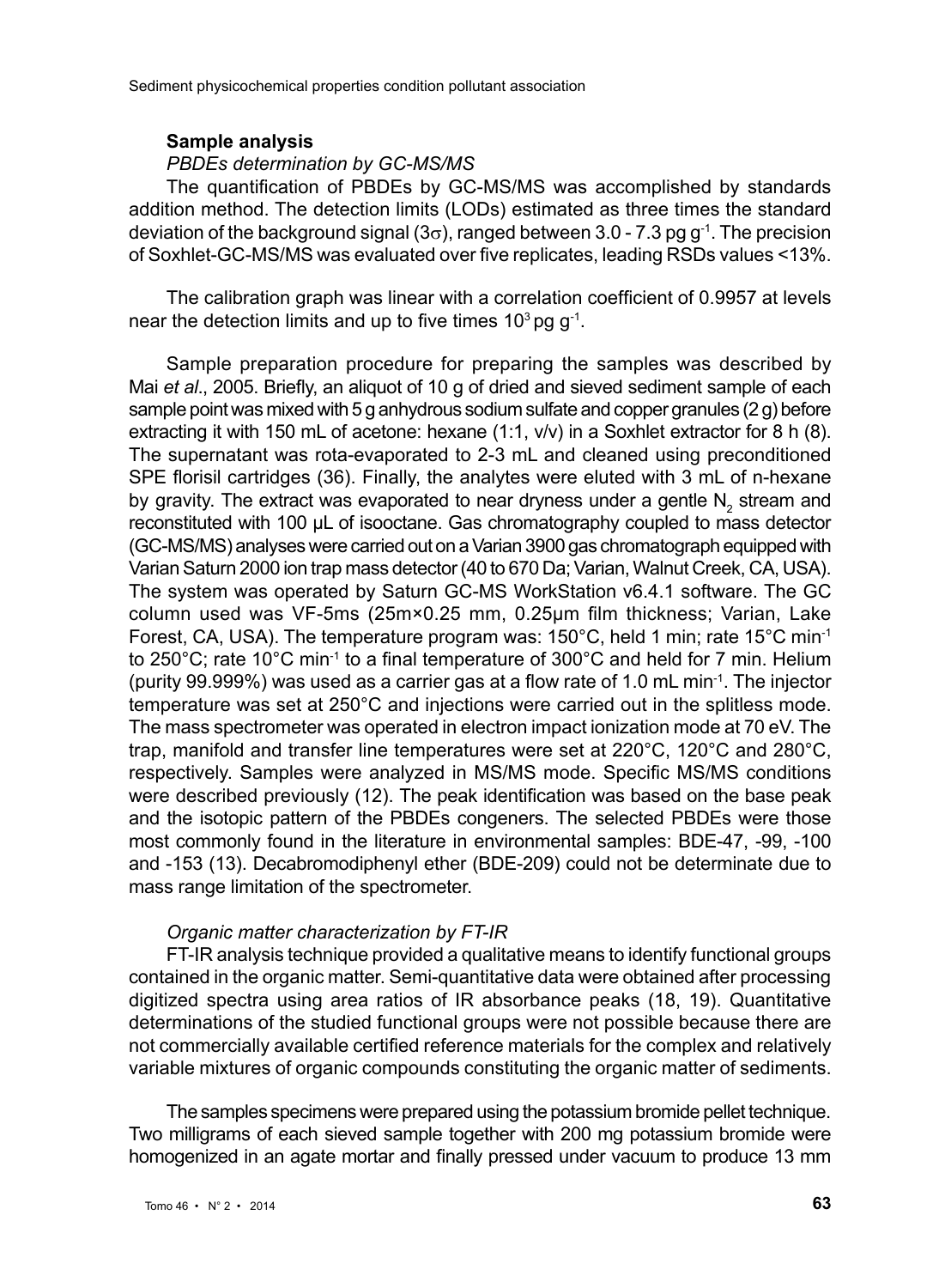#### **Sample analysis**

#### *PBDEs determination by GC-MS/MS*

The quantification of PBDEs by GC-MS/MS was accomplished by standards addition method. The detection limits (LODs) estimated as three times the standard deviation of the background signal ( $3\sigma$ ), ranged between 3.0 - 7.3 pg g<sup>-1</sup>. The precision of Soxhlet-GC-MS/MS was evaluated over five replicates, leading RSDs values <13%.

The calibration graph was linear with a correlation coefficient of 0.9957 at levels near the detection limits and up to five times  $10<sup>3</sup>$  pg g<sup>-1</sup>.

Sample preparation procedure for preparing the samples was described by Mai *et al*., 2005. Briefly, an aliquot of 10 g of dried and sieved sediment sample of each sample point was mixed with 5 g anhydrous sodium sulfate and copper granules (2 g) before extracting it with 150 mL of acetone: hexane (1:1, v/v) in a Soxhlet extractor for 8 h (8). The supernatant was rota-evaporated to 2-3 mL and cleaned using preconditioned SPE florisil cartridges (36). Finally, the analytes were eluted with 3 mL of n-hexane by gravity. The extract was evaporated to near dryness under a gentle  $N_2$  stream and reconstituted with 100 µL of isooctane. Gas chromatography coupled to mass detector (GC-MS/MS) analyses were carried out on a Varian 3900 gas chromatograph equipped with Varian Saturn 2000 ion trap mass detector (40 to 670 Da; Varian, Walnut Creek, CA, USA). The system was operated by Saturn GC-MS WorkStation v6.4.1 software. The GC column used was VF-5ms (25m×0.25 mm, 0.25µm film thickness; Varian, Lake Forest, CA, USA). The temperature program was: 150°C, held 1 min; rate 15°C min-1 to 250°C; rate 10°C min-1 to a final temperature of 300°C and held for 7 min. Helium (purity 99.999%) was used as a carrier gas at a flow rate of 1.0 mL min-1. The injector temperature was set at 250°C and injections were carried out in the splitless mode. The mass spectrometer was operated in electron impact ionization mode at 70 eV. The trap, manifold and transfer line temperatures were set at 220°C, 120°C and 280°C, respectively. Samples were analyzed in MS/MS mode. Specific MS/MS conditions were described previously (12). The peak identification was based on the base peak and the isotopic pattern of the PBDEs congeners. The selected PBDEs were those most commonly found in the literature in environmental samples: BDE-47, -99, -100 and -153 (13). Decabromodiphenyl ether (BDE-209) could not be determinate due to mass range limitation of the spectrometer.

#### *Organic matter characterization by FT-IR*

FT-IR analysis technique provided a qualitative means to identify functional groups contained in the organic matter. Semi-quantitative data were obtained after processing digitized spectra using area ratios of IR absorbance peaks (18, 19). Quantitative determinations of the studied functional groups were not possible because there are not commercially available certified reference materials for the complex and relatively variable mixtures of organic compounds constituting the organic matter of sediments.

The samples specimens were prepared using the potassium bromide pellet technique. Two milligrams of each sieved sample together with 200 mg potassium bromide were homogenized in an agate mortar and finally pressed under vacuum to produce 13 mm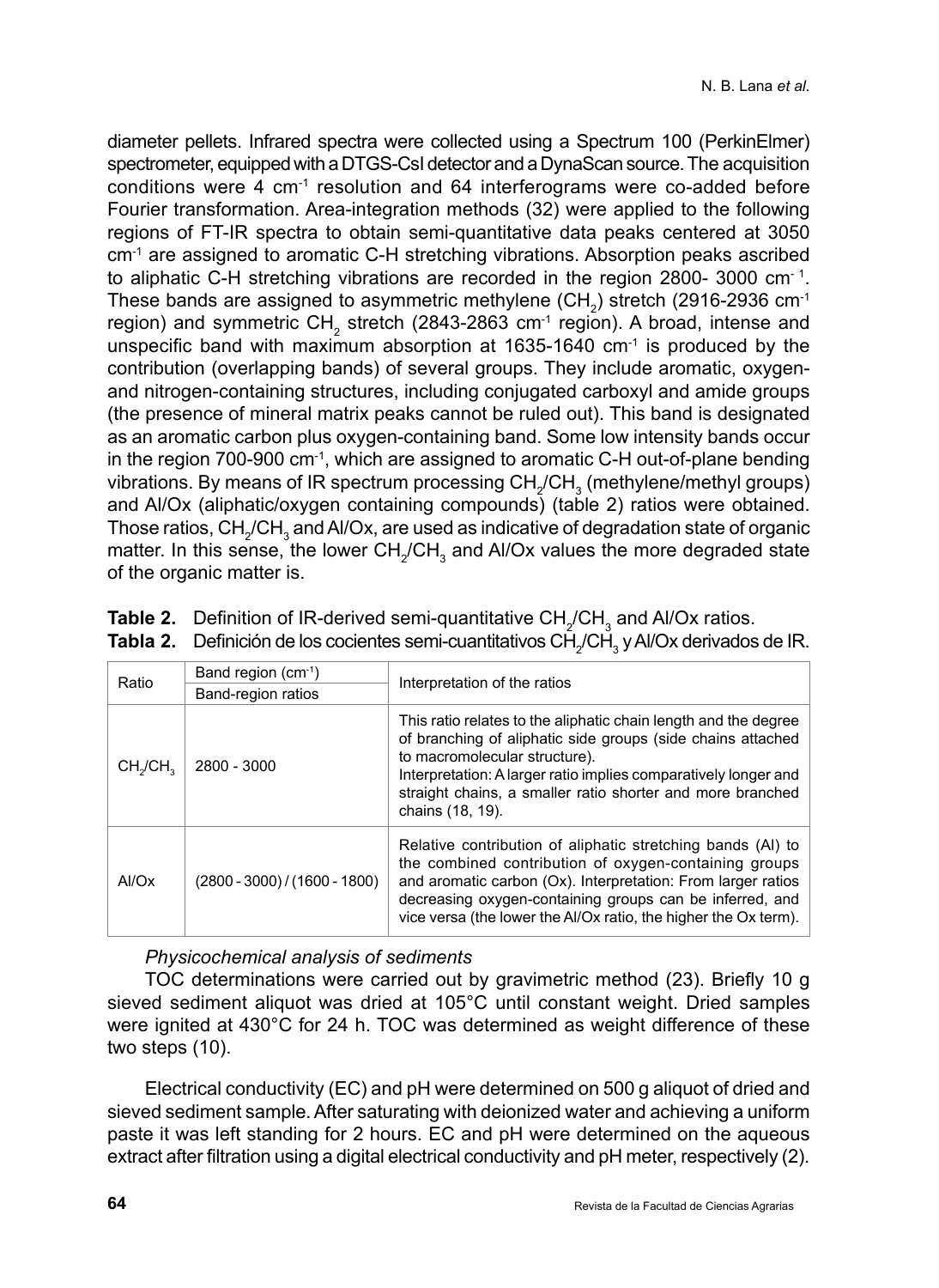diameter pellets. Infrared spectra were collected using a Spectrum 100 (PerkinElmer) spectrometer, equipped with a DTGS-CsI detector and a DynaScan source. The acquisition conditions were 4 cm-1 resolution and 64 interferograms were co-added before Fourier transformation. Area-integration methods (32) were applied to the following regions of FT-IR spectra to obtain semi-quantitative data peaks centered at 3050 cm<sup>-1</sup> are assigned to aromatic C-H stretching vibrations. Absorption peaks ascribed to aliphatic C-H stretching vibrations are recorded in the region 2800- 3000 cm $1$ . These bands are assigned to asymmetric methylene (CH<sub>2</sub>) stretch (2916-2936 cm<sup>-1</sup> region) and symmetric  $CH<sub>2</sub>$  stretch (2843-2863 cm<sup>-1</sup> region). A broad, intense and unspecific band with maximum absorption at 1635-1640 cm<sup>-1</sup> is produced by the contribution (overlapping bands) of several groups. They include aromatic, oxygenand nitrogen-containing structures, including conjugated carboxyl and amide groups (the presence of mineral matrix peaks cannot be ruled out). This band is designated as an aromatic carbon plus oxygen-containing band. Some low intensity bands occur in the region 700-900 cm-1, which are assigned to aromatic C-H out-of-plane bending vibrations. By means of IR spectrum processing  $CH_2/CH_3$  (methylene/methyl groups) and Al/Ox (aliphatic/oxygen containing compounds) (table 2) ratios were obtained. Those ratios,  $\text{CH}_2/\text{CH}_3$  and Al/Ox, are used as indicative of degradation state of organic matter. In this sense, the lower  $CH_2/CH_3$  and Al/Ox values the more degraded state of the organic matter is.

| Ratio                            | Band region $(cm-1)$            | Interpretation of the ratios                                                                                                                                                                                                                                                                                         |  |
|----------------------------------|---------------------------------|----------------------------------------------------------------------------------------------------------------------------------------------------------------------------------------------------------------------------------------------------------------------------------------------------------------------|--|
|                                  | Band-region ratios              |                                                                                                                                                                                                                                                                                                                      |  |
| CH <sub>2</sub> /CH <sub>2</sub> | 2800 - 3000                     | This ratio relates to the aliphatic chain length and the degree<br>of branching of aliphatic side groups (side chains attached<br>to macromolecular structure).<br>Interpretation: A larger ratio implies comparatively longer and<br>straight chains, a smaller ratio shorter and more branched<br>chains (18, 19). |  |
| AI/Ox                            | $(2800 - 3000) / (1600 - 1800)$ | Relative contribution of aliphatic stretching bands (AI) to<br>the combined contribution of oxygen-containing groups<br>and aromatic carbon (Ox). Interpretation: From larger ratios<br>decreasing oxygen-containing groups can be inferred, and<br>vice versa (the lower the Al/Ox ratio, the higher the Ox term).  |  |

|  |  | <b>Table 2.</b> Definition of IR-derived semi-quantitative $CH_{2}/CH_{3}$ and Al/Ox ratios. |
|--|--|----------------------------------------------------------------------------------------------|
|  |  |                                                                                              |

**Tabla 2.** Definición de los cocientes semi-cuantitativos CH<sub>2</sub>/CH<sub>3</sub> y Al/Ox derivados de IR.

*Physicochemical analysis of sediments*

TOC determinations were carried out by gravimetric method (23). Briefly 10 g sieved sediment aliquot was dried at 105°C until constant weight. Dried samples were ignited at 430°C for 24 h. TOC was determined as weight difference of these two steps  $(10)$ .

Electrical conductivity (EC) and pH were determined on 500 g aliquot of dried and sieved sediment sample. After saturating with deionized water and achieving a uniform paste it was left standing for 2 hours. EC and pH were determined on the aqueous extract after filtration using a digital electrical conductivity and pH meter, respectively (2).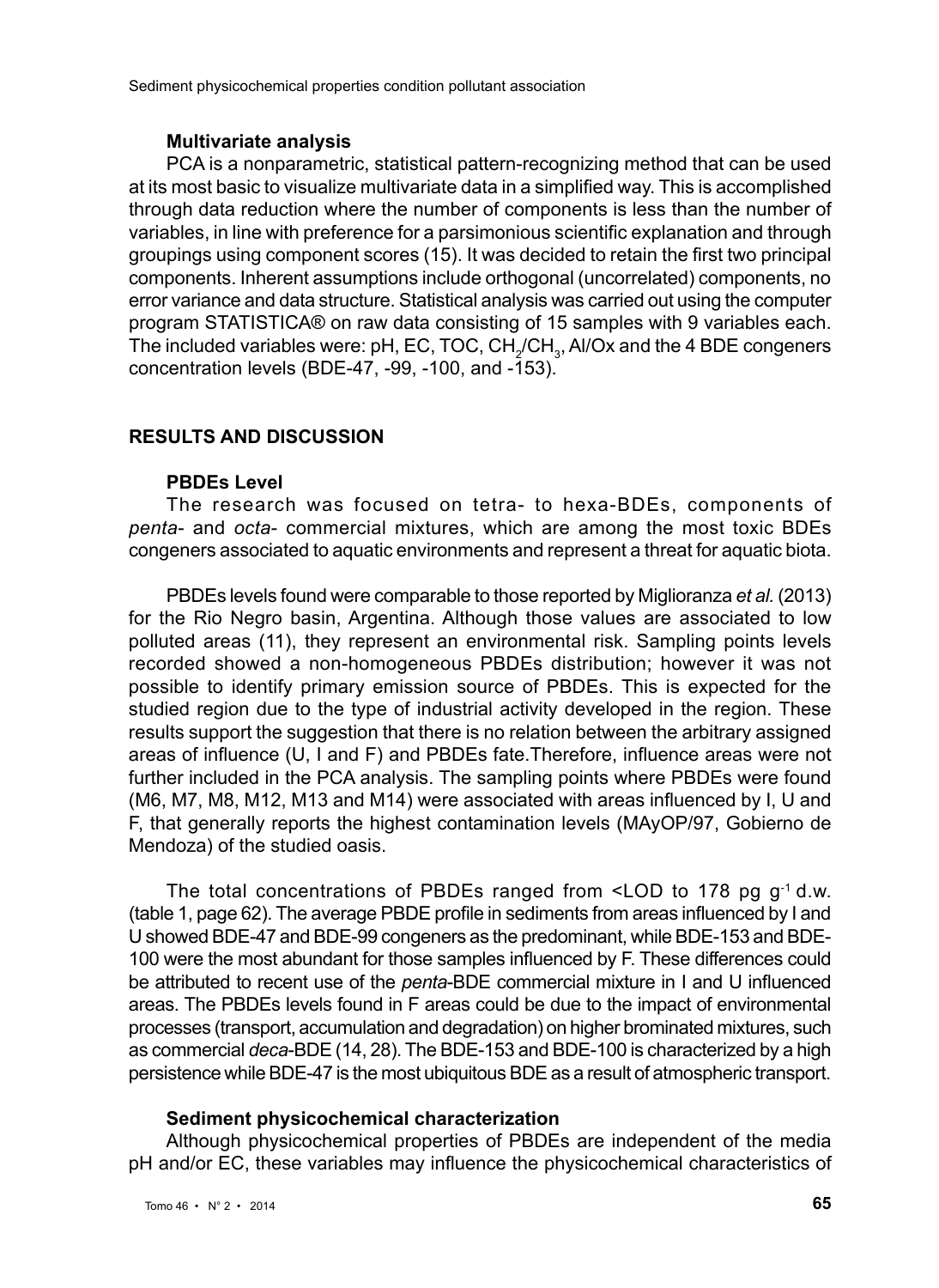#### **Multivariate analysis**

PCA is a nonparametric, statistical pattern-recognizing method that can be used at its most basic to visualize multivariate data in a simplified way. This is accomplished through data reduction where the number of components is less than the number of variables, in line with preference for a parsimonious scientific explanation and through groupings using component scores (15). It was decided to retain the first two principal components. Inherent assumptions include orthogonal (uncorrelated) components, no error variance and data structure. Statistical analysis was carried out using the computer program STATISTICA® on raw data consisting of 15 samples with 9 variables each. The included variables were: pH, EC, TOC,  $\mathsf{CH}_2/\mathsf{CH}_3$ , Al/Ox and the 4 BDE congeners concentration levels (BDE-47, -99, -100, and  $-153$ ).

#### **RESULTS AND DISCUSSION**

#### **PBDEs Level**

The research was focused on tetra- to hexa-BDEs, components of *penta*- and *octa*- commercial mixtures, which are among the most toxic BDEs congeners associated to aquatic environments and represent a threat for aquatic biota.

PBDEs levels found were comparable to those reported by Miglioranza *et al.* (2013) for the Rio Negro basin, Argentina. Although those values are associated to low polluted areas (11), they represent an environmental risk. Sampling points levels recorded showed a non-homogeneous PBDEs distribution; however it was not possible to identify primary emission source of PBDEs. This is expected for the studied region due to the type of industrial activity developed in the region. These results support the suggestion that there is no relation between the arbitrary assigned areas of influence (U, I and F) and PBDEs fate.Therefore, influence areas were not further included in the PCA analysis. The sampling points where PBDEs were found (M6, M7, M8, M12, M13 and M14) were associated with areas influenced by I, U and F, that generally reports the highest contamination levels (MAyOP/97, Gobierno de Mendoza) of the studied oasis.

The total concentrations of PBDEs ranged from  $\leq$ LOD to 178 pg g<sup>-1</sup> d.w. (table 1, page 62). The average PBDE profile in sediments from areas influenced by I and U showed BDE-47 and BDE-99 congeners as the predominant, while BDE-153 and BDE-100 were the most abundant for those samples influenced by F. These differences could be attributed to recent use of the *penta*-BDE commercial mixture in I and U influenced areas. The PBDEs levels found in F areas could be due to the impact of environmental processes (transport, accumulation and degradation) on higher brominated mixtures, such as commercial *deca*-BDE (14, 28). The BDE-153 and BDE-100 is characterized by a high persistence while BDE-47 is the most ubiquitous BDE as a result of atmospheric transport.

#### **Sediment physicochemical characterization**

Although physicochemical properties of PBDEs are independent of the media pH and/or EC, these variables may influence the physicochemical characteristics of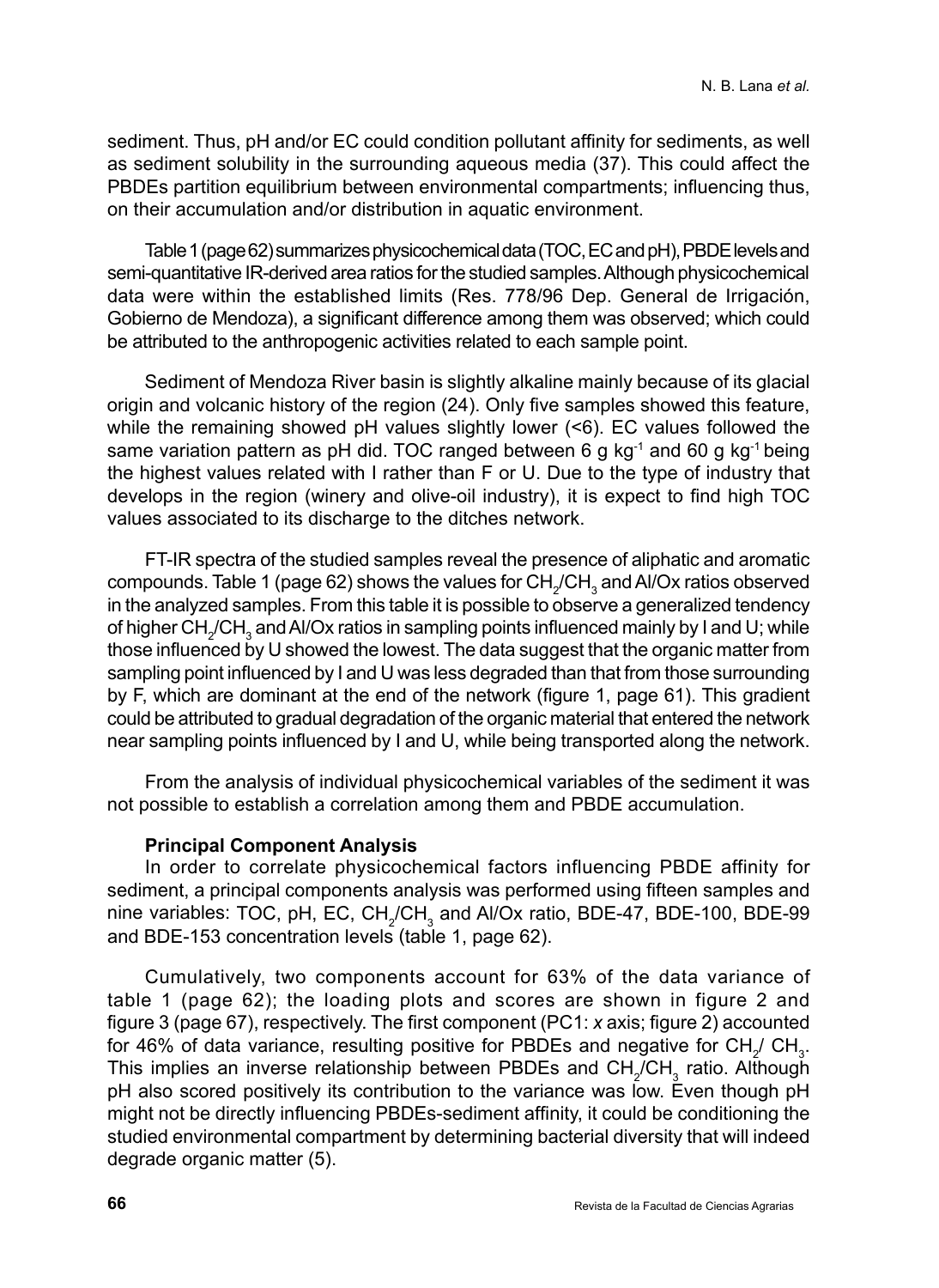sediment. Thus, pH and/or EC could condition pollutant affinity for sediments, as well as sediment solubility in the surrounding aqueous media (37). This could affect the PBDEs partition equilibrium between environmental compartments; influencing thus, on their accumulation and/or distribution in aquatic environment.

Table 1 (page 62) summarizes physicochemical data (TOC, EC and pH), PBDE levels and semi-quantitative IR-derived area ratios for the studied samples. Although physicochemical data were within the established limits (Res. 778/96 Dep. General de Irrigación, Gobierno de Mendoza), a significant difference among them was observed; which could be attributed to the anthropogenic activities related to each sample point.

Sediment of Mendoza River basin is slightly alkaline mainly because of its glacial origin and volcanic history of the region (24). Only five samples showed this feature, while the remaining showed pH values slightly lower (<6). EC values followed the same variation pattern as pH did. TOC ranged between 6 g kg<sup>-1</sup> and 60 g kg<sup>-1</sup> being the highest values related with I rather than F or U. Due to the type of industry that develops in the region (winery and olive-oil industry), it is expect to find high TOC values associated to its discharge to the ditches network.

FT-IR spectra of the studied samples reveal the presence of aliphatic and aromatic compounds. Table 1 (page 62) shows the values for  $\text{CH}_2/\text{CH}_3$  and Al/Ox ratios observed in the analyzed samples. From this table it is possible to observe a generalized tendency of higher  $\text{CH}_2/\text{CH}_3$  and Al/Ox ratios in sampling points influenced mainly by I and U; while those influenced by U showed the lowest. The data suggest that the organic matter from sampling point influenced by I and U was less degraded than that from those surrounding by F, which are dominant at the end of the network (figure 1, page 61). This gradient could be attributed to gradual degradation of the organic material that entered the network near sampling points influenced by I and U, while being transported along the network.

From the analysis of individual physicochemical variables of the sediment it was not possible to establish a correlation among them and PBDE accumulation.

#### **Principal Component Analysis**

In order to correlate physicochemical factors influencing PBDE affinity for sediment, a principal components analysis was performed using fifteen samples and nine variables: TOC, pH, EC, CH<sub>2</sub>/CH<sub>3</sub> and Al/Ox ratio, BDE-47, BDE-100, BDE-99 and BDE-153 concentration levels (table 1, page 62).

Cumulatively, two components account for 63% of the data variance of table 1 (page 62); the loading plots and scores are shown in figure 2 and figure 3 (page 67), respectively. The first component (PC1: *x* axis; figure 2) accounted for 46% of data variance, resulting positive for PBDEs and negative for CH<sub>2</sub>/ CH<sub>3</sub>. This implies an inverse relationship between PBDEs and  $\text{CH}_2/\text{CH}_3$  ratio. Although pH also scored positively its contribution to the variance was low. Even though pH might not be directly influencing PBDEs-sediment affinity, it could be conditioning the studied environmental compartment by determining bacterial diversity that will indeed degrade organic matter (5).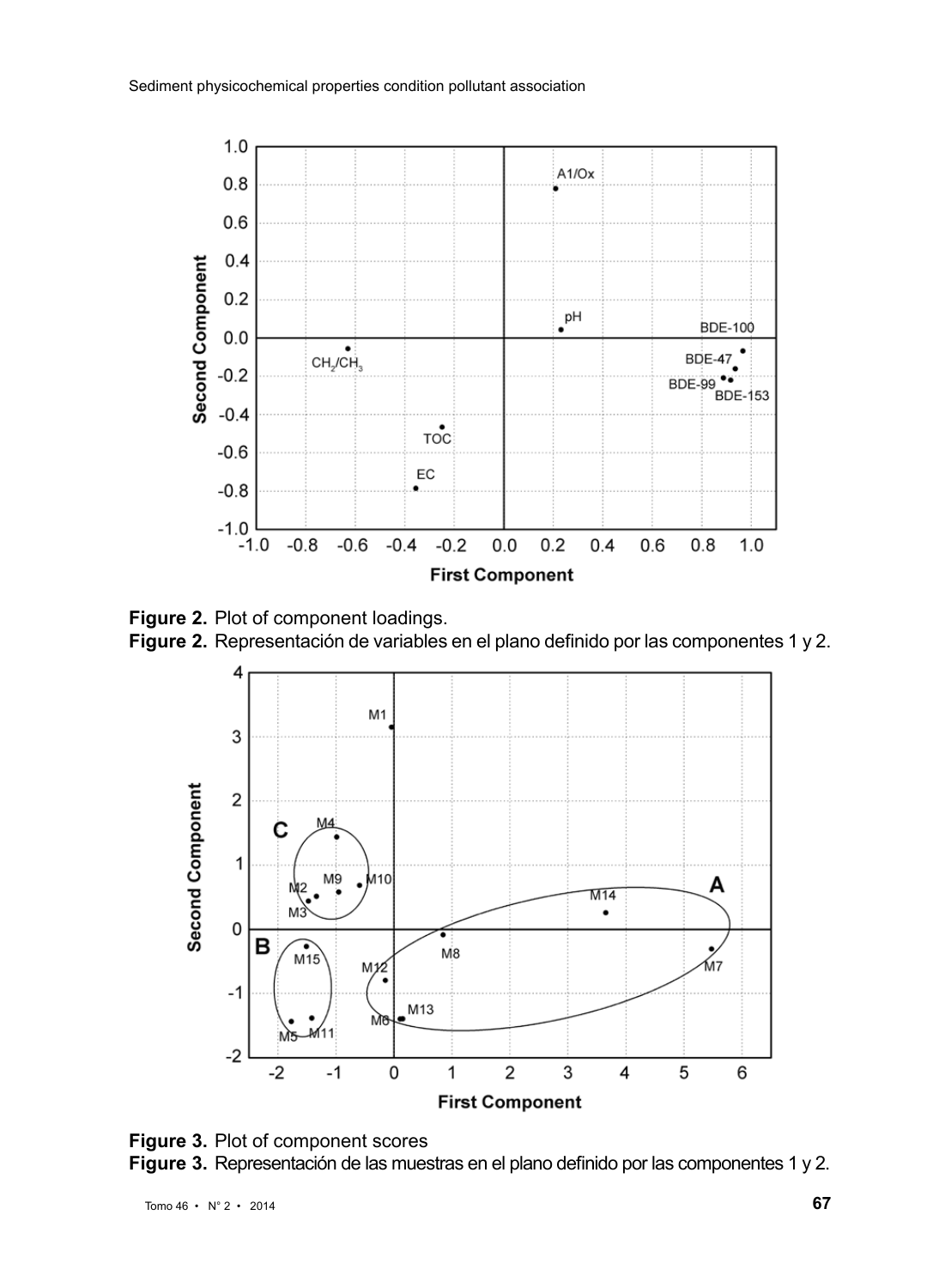

**Figure 2.** Plot of component loadings. **Figure 2.** Representación de variables en el plano definido por las componentes 1 y 2.



**Figure 3.** Plot of component scores **Figure 3.** Representación de las muestras en el plano definido por las componentes 1 y 2.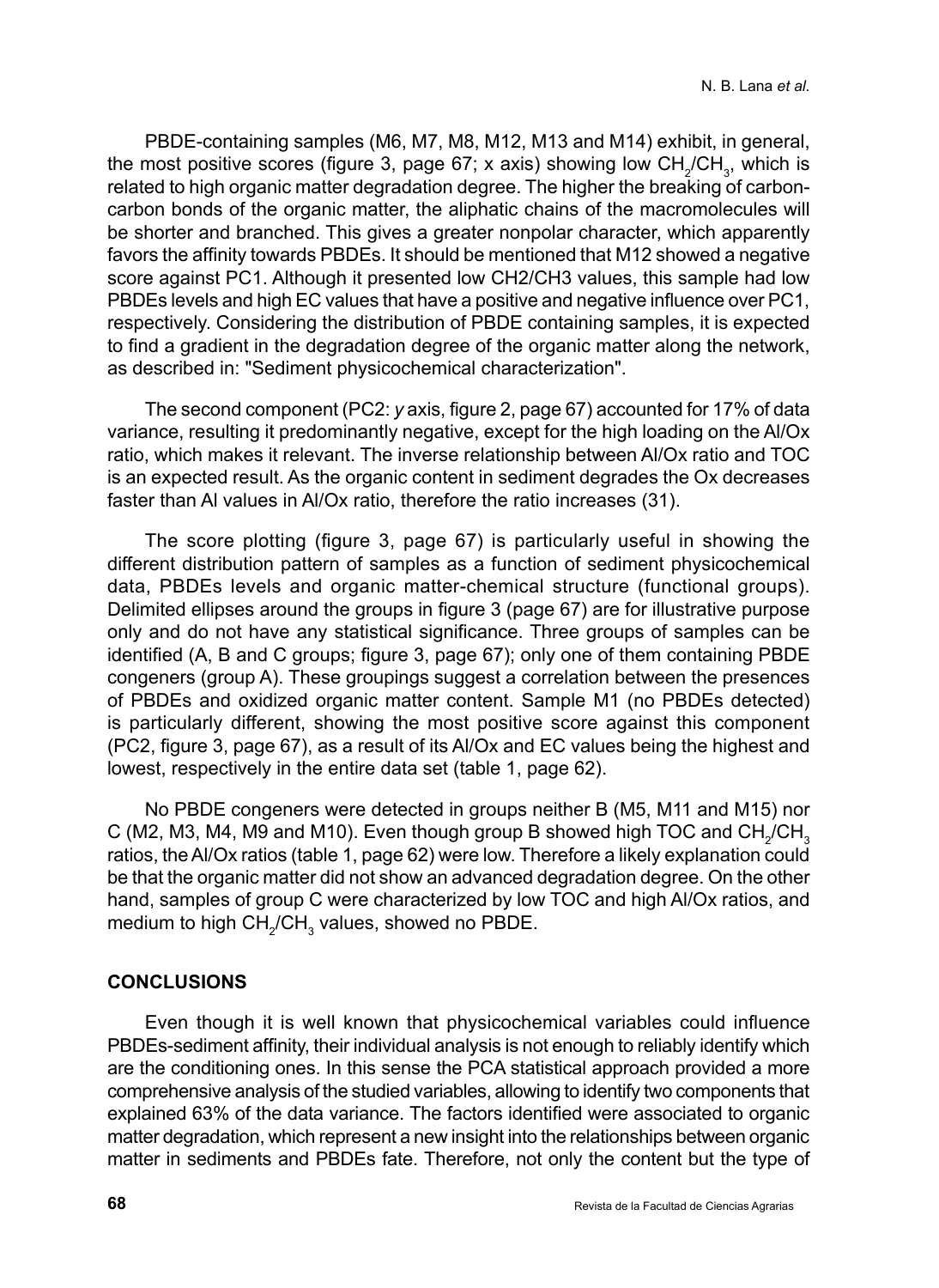PBDE-containing samples (M6, M7, M8, M12, M13 and M14) exhibit, in general, the most positive scores (figure 3, page 67; x axis) showing low  $CH_2/CH_3$ , which is related to high organic matter degradation degree. The higher the breaking of carboncarbon bonds of the organic matter, the aliphatic chains of the macromolecules will be shorter and branched. This gives a greater nonpolar character, which apparently favors the affinity towards PBDEs. It should be mentioned that M12 showed a negative score against PC1. Although it presented low CH2/CH3 values, this sample had low PBDEs levels and high EC values that have a positive and negative influence over PC1, respectively. Considering the distribution of PBDE containing samples, it is expected to find a gradient in the degradation degree of the organic matter along the network, as described in: "Sediment physicochemical characterization".

The second component (PC2: *y* axis, figure 2, page 67) accounted for 17% of data variance, resulting it predominantly negative, except for the high loading on the Al/Ox ratio, which makes it relevant. The inverse relationship between Al/Ox ratio and TOC is an expected result. As the organic content in sediment degrades the Ox decreases faster than Al values in Al/Ox ratio, therefore the ratio increases (31).

The score plotting (figure 3, page 67) is particularly useful in showing the different distribution pattern of samples as a function of sediment physicochemical data, PBDEs levels and organic matter-chemical structure (functional groups). Delimited ellipses around the groups in figure 3 (page 67) are for illustrative purpose only and do not have any statistical significance. Three groups of samples can be identified (A, B and C groups; figure 3, page 67); only one of them containing PBDE congeners (group A). These groupings suggest a correlation between the presences of PBDEs and oxidized organic matter content. Sample M1 (no PBDEs detected) is particularly different, showing the most positive score against this component (PC2, figure 3, page 67), as a result of its Al/Ox and EC values being the highest and lowest, respectively in the entire data set (table 1, page 62).

No PBDE congeners were detected in groups neither B (M5, M11 and M15) nor C (M2, M3, M4, M9 and M10). Even though group B showed high TOC and CH<sub>2</sub>/CH<sub>3</sub> ratios, the Al/Ox ratios (table 1, page 62) were low. Therefore a likely explanation could be that the organic matter did not show an advanced degradation degree. On the other hand, samples of group C were characterized by low TOC and high Al/Ox ratios, and medium to high  $\textsf{CH}_2/\textsf{CH}_3$  values, showed no PBDE.

#### **CONCLUSIONS**

Even though it is well known that physicochemical variables could influence PBDEs-sediment affinity, their individual analysis is not enough to reliably identify which are the conditioning ones. In this sense the PCA statistical approach provided a more comprehensive analysis of the studied variables, allowing to identify two components that explained 63% of the data variance. The factors identified were associated to organic matter degradation, which represent a new insight into the relationships between organic matter in sediments and PBDEs fate. Therefore, not only the content but the type of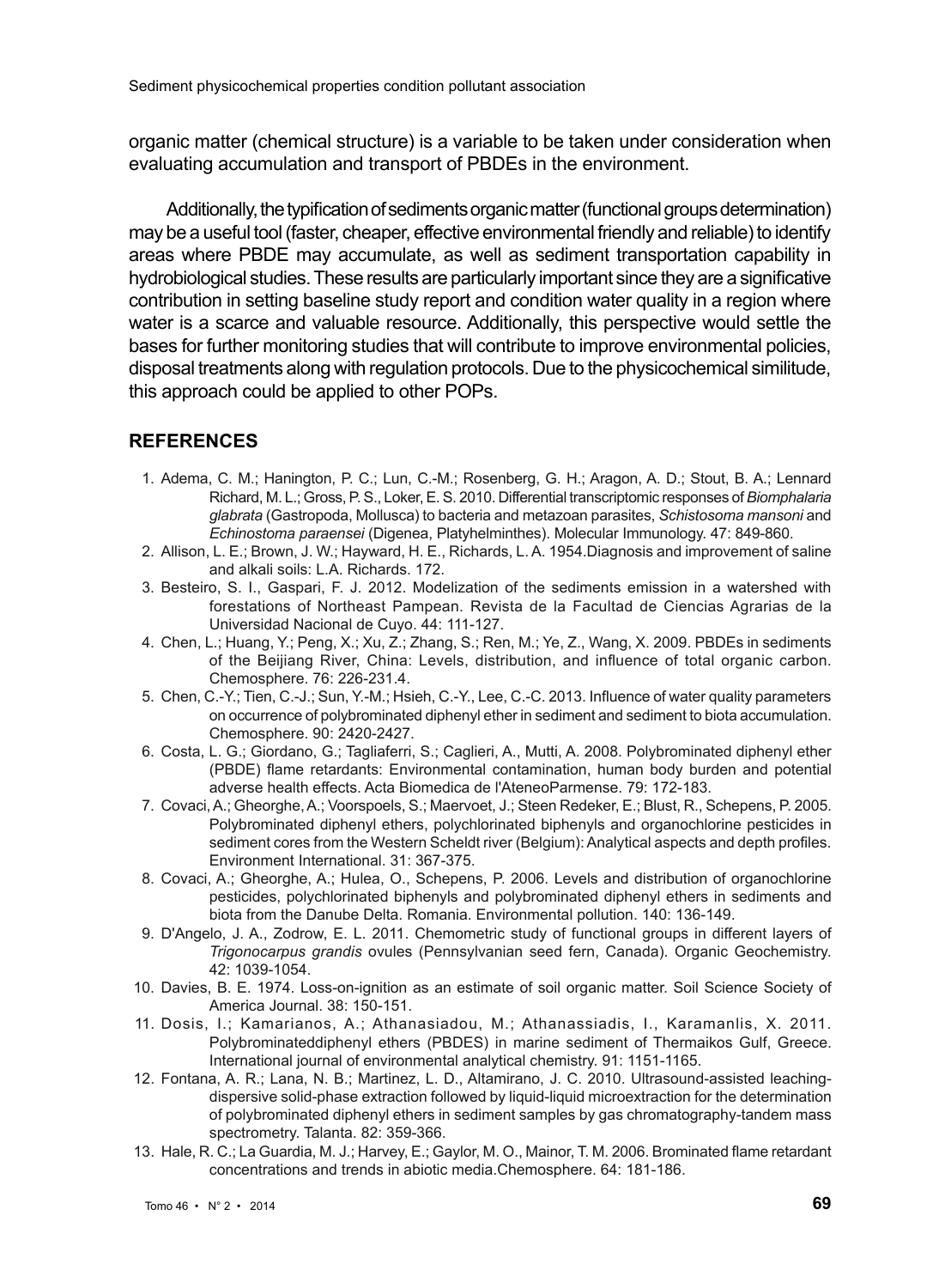organic matter (chemical structure) is a variable to be taken under consideration when evaluating accumulation and transport of PBDEs in the environment.

Additionally, the typification of sediments organic matter (functional groups determination) may be a useful tool (faster, cheaper, effective environmental friendly and reliable) to identify areas where PBDE may accumulate, as well as sediment transportation capability in hydrobiological studies. These results are particularly important since they are a significative contribution in setting baseline study report and condition water quality in a region where water is a scarce and valuable resource. Additionally, this perspective would settle the bases for further monitoring studies that will contribute to improve environmental policies, disposal treatments along with regulation protocols. Due to the physicochemical similitude, this approach could be applied to other POPs.

#### **REFERENCES**

- 1. Adema, C. M.; Hanington, P. C.; Lun, C.-M.; Rosenberg, G. H.; Aragon, A. D.; Stout, B. A.; Lennard Richard, M. L.; Gross, P. S., Loker, E. S. 2010. Differential transcriptomic responses of *Biomphalaria glabrata* (Gastropoda, Mollusca) to bacteria and metazoan parasites, *Schistosoma mansoni* and *Echinostoma paraensei* (Digenea, Platyhelminthes). Molecular Immunology. 47: 849-860.
- 2. Allison, L. E.; Brown, J. W.; Hayward, H. E., Richards, L. A. 1954.Diagnosis and improvement of saline and alkali soils: L.A. Richards. 172.
- 3. Besteiro, S. I., Gaspari, F. J. 2012. Modelization of the sediments emission in a watershed with forestations of Northeast Pampean. Revista de la Facultad de Ciencias Agrarias de la Universidad Nacional de Cuyo. 44: 111-127.
- 4. Chen, L.; Huang, Y.; Peng, X.; Xu, Z.; Zhang, S.; Ren, M.; Ye, Z., Wang, X. 2009. PBDEs in sediments of the Beijiang River, China: Levels, distribution, and influence of total organic carbon. Chemosphere. 76: 226-231.4.
- 5. Chen, C.-Y.; Tien, C.-J.; Sun, Y.-M.; Hsieh, C.-Y., Lee, C.-C. 2013. Influence of water quality parameters on occurrence of polybrominated diphenyl ether in sediment and sediment to biota accumulation. Chemosphere. 90: 2420-2427.
- 6. Costa, L. G.; Giordano, G.; Tagliaferri, S.; Caglieri, A., Mutti, A. 2008. Polybrominated diphenyl ether (PBDE) flame retardants: Environmental contamination, human body burden and potential adverse health effects. Acta Biomedica de l'AteneoParmense. 79: 172-183.
- 7. Covaci, A.; Gheorghe, A.; Voorspoels, S.; Maervoet, J.; Steen Redeker, E.; Blust, R., Schepens, P. 2005. Polybrominated diphenyl ethers, polychlorinated biphenyls and organochlorine pesticides in sediment cores from the Western Scheldt river (Belgium): Analytical aspects and depth profiles. Environment International. 31: 367-375.
- 8. Covaci, A.; Gheorghe, A.; Hulea, O., Schepens, P. 2006. Levels and distribution of organochlorine pesticides, polychlorinated biphenyls and polybrominated diphenyl ethers in sediments and biota from the Danube Delta. Romania. Environmental pollution. 140: 136-149.
- 9. D'Angelo, J. A., Zodrow, E. L. 2011. Chemometric study of functional groups in different layers of *Trigonocarpus grandis* ovules (Pennsylvanian seed fern, Canada). Organic Geochemistry. 42: 1039-1054.
- 10. Davies, B. E. 1974. Loss-on-ignition as an estimate of soil organic matter. Soil Science Society of America Journal. 38: 150-151.
- 11. Dosis, I.; Kamarianos, A.; Athanasiadou, M.; Athanassiadis, I., Karamanlis, X. 2011. Polybrominateddiphenyl ethers (PBDES) in marine sediment of Thermaikos Gulf, Greece. International journal of environmental analytical chemistry. 91: 1151-1165.
- 12. Fontana, A. R.; Lana, N. B.; Martinez, L. D., Altamirano, J. C. 2010. Ultrasound-assisted leachingdispersive solid-phase extraction followed by liquid-liquid microextraction for the determination of polybrominated diphenyl ethers in sediment samples by gas chromatography-tandem mass spectrometry. Talanta. 82: 359-366.
- 13. Hale, R. C.; La Guardia, M. J.; Harvey, E.; Gaylor, M. O., Mainor, T. M. 2006. Brominated flame retardant concentrations and trends in abiotic media.Chemosphere. 64: 181-186.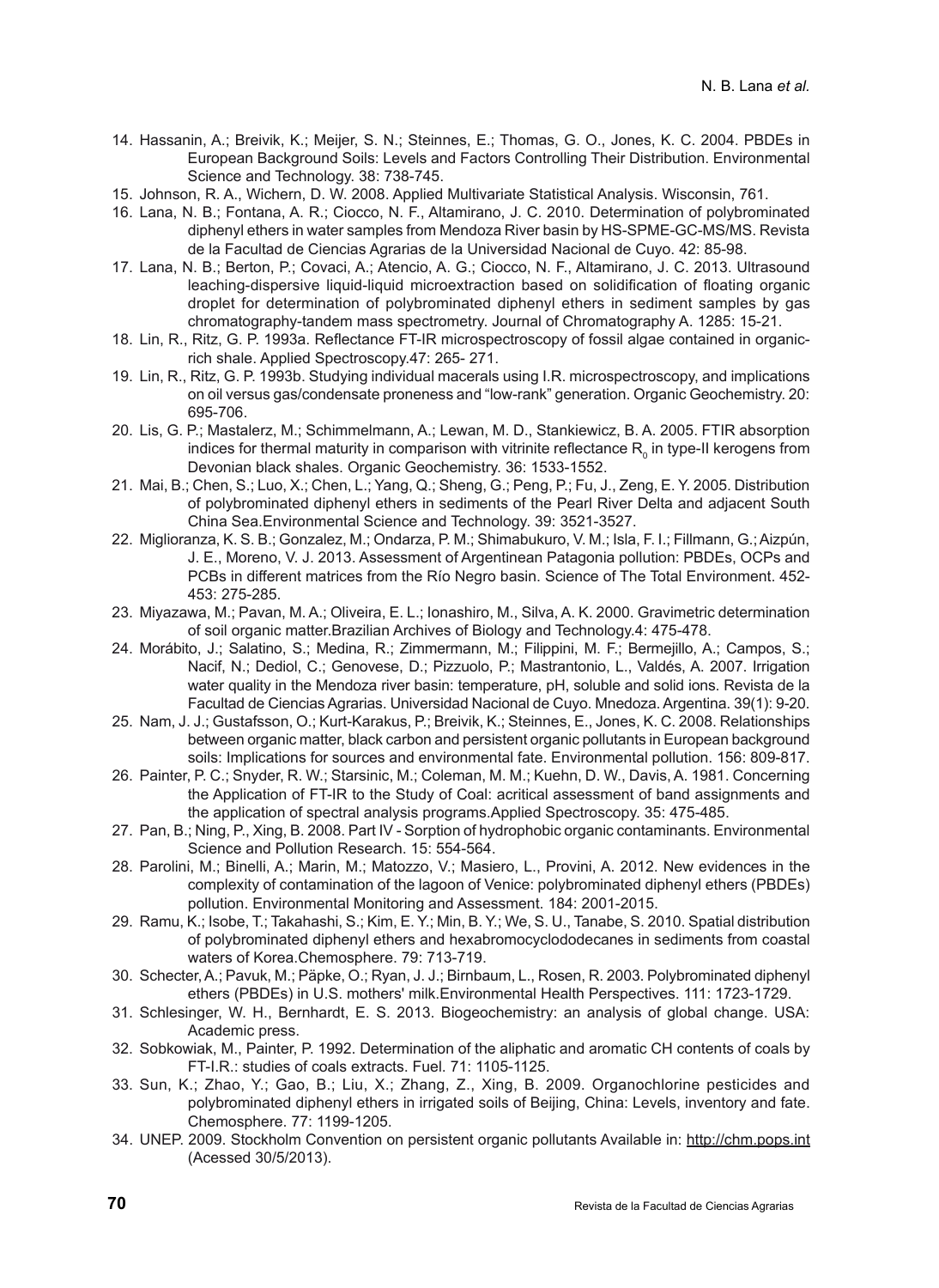- 14. Hassanin, A.; Breivik, K.; Meijer, S. N.; Steinnes, E.; Thomas, G. O., Jones, K. C. 2004. PBDEs in European Background Soils: Levels and Factors Controlling Their Distribution. Environmental Science and Technology. 38: 738-745.
- 15. Johnson, R. A., Wichern, D. W. 2008. Applied Multivariate Statistical Analysis. Wisconsin, 761.
- 16. Lana, N. B.; Fontana, A. R.; Ciocco, N. F., Altamirano, J. C. 2010. Determination of polybrominated diphenyl ethers in water samples from Mendoza River basin by HS-SPME-GC-MS/MS. Revista de la Facultad de Ciencias Agrarias de la Universidad Nacional de Cuyo. 42: 85-98.
- 17. Lana, N. B.; Berton, P.; Covaci, A.; Atencio, A. G.; Ciocco, N. F., Altamirano, J. C. 2013. Ultrasound leaching-dispersive liquid-liquid microextraction based on solidification of floating organic droplet for determination of polybrominated diphenyl ethers in sediment samples by gas chromatography-tandem mass spectrometry. Journal of Chromatography A. 1285: 15-21.
- 18. Lin, R., Ritz, G. P. 1993a. Reflectance FT-IR microspectroscopy of fossil algae contained in organicrich shale. Applied Spectroscopy.47: 265- 271.
- 19. Lin, R., Ritz, G. P. 1993b. Studying individual macerals using I.R. microspectroscopy, and implications on oil versus gas/condensate proneness and "low-rank" generation. Organic Geochemistry. 20: 695-706.
- 20. Lis, G. P.; Mastalerz, M.; Schimmelmann, A.; Lewan, M. D., Stankiewicz, B. A. 2005. FTIR absorption indices for thermal maturity in comparison with vitrinite reflectance  $R_0$  in type-II kerogens from Devonian black shales. Organic Geochemistry. 36: 1533-1552.
- 21. Mai, B.; Chen, S.; Luo, X.; Chen, L.; Yang, Q.; Sheng, G.; Peng, P.; Fu, J., Zeng, E. Y. 2005. Distribution of polybrominated diphenyl ethers in sediments of the Pearl River Delta and adjacent South China Sea.Environmental Science and Technology. 39: 3521-3527.
- 22. Miglioranza, K. S. B.; Gonzalez, M.; Ondarza, P. M.; Shimabukuro, V. M.; Isla, F. I.; Fillmann, G.; Aizpún, J. E., Moreno, V. J. 2013. Assessment of Argentinean Patagonia pollution: PBDEs, OCPs and PCBs in different matrices from the Río Negro basin. Science of The Total Environment. 452- 453: 275-285.
- 23. Miyazawa, M.; Pavan, M. A.; Oliveira, E. L.; Ionashiro, M., Silva, A. K. 2000. Gravimetric determination of soil organic matter.Brazilian Archives of Biology and Technology.4: 475-478.
- 24. Morábito, J.; Salatino, S.; Medina, R.; Zimmermann, M.; Filippini, M. F.; Bermejillo, A.; Campos, S.; Nacif, N.; Dediol, C.; Genovese, D.; Pizzuolo, P.; Mastrantonio, L., Valdés, A. 2007. Irrigation water quality in the Mendoza river basin: temperature, pH, soluble and solid ions. Revista de la Facultad de Ciencias Agrarias. Universidad Nacional de Cuyo. Mnedoza. Argentina. 39(1): 9-20.
- 25. Nam, J. J.; Gustafsson, O.; Kurt-Karakus, P.; Breivik, K.; Steinnes, E., Jones, K. C. 2008. Relationships between organic matter, black carbon and persistent organic pollutants in European background soils: Implications for sources and environmental fate. Environmental pollution. 156: 809-817.
- 26. Painter, P. C.; Snyder, R. W.; Starsinic, M.; Coleman, M. M.; Kuehn, D. W., Davis, A. 1981. Concerning the Application of FT-IR to the Study of Coal: acritical assessment of band assignments and the application of spectral analysis programs.Applied Spectroscopy. 35: 475-485.
- 27. Pan, B.; Ning, P., Xing, B. 2008. Part IV Sorption of hydrophobic organic contaminants. Environmental Science and Pollution Research. 15: 554-564.
- 28. Parolini, M.; Binelli, A.; Marin, M.; Matozzo, V.; Masiero, L., Provini, A. 2012. New evidences in the complexity of contamination of the lagoon of Venice: polybrominated diphenyl ethers (PBDEs) pollution. Environmental Monitoring and Assessment. 184: 2001-2015.
- 29. Ramu, K.; Isobe, T.; Takahashi, S.; Kim, E. Y.; Min, B. Y.; We, S. U., Tanabe, S. 2010. Spatial distribution of polybrominated diphenyl ethers and hexabromocyclododecanes in sediments from coastal waters of Korea.Chemosphere. 79: 713-719.
- 30. Schecter, A.; Pavuk, M.; Päpke, O.; Ryan, J. J.; Birnbaum, L., Rosen, R. 2003. Polybrominated diphenyl ethers (PBDEs) in U.S. mothers' milk.Environmental Health Perspectives. 111: 1723-1729.
- 31. Schlesinger, W. H., Bernhardt, E. S. 2013. Biogeochemistry: an analysis of global change. USA: Academic press.
- 32. Sobkowiak, M., Painter, P. 1992. Determination of the aliphatic and aromatic CH contents of coals by FT-I.R.: studies of coals extracts. Fuel. 71: 1105-1125.
- 33. Sun, K.; Zhao, Y.; Gao, B.; Liu, X.; Zhang, Z., Xing, B. 2009. Organochlorine pesticides and polybrominated diphenyl ethers in irrigated soils of Beijing, China: Levels, inventory and fate. Chemosphere. 77: 1199-1205.
- 34. UNEP. 2009. Stockholm Convention on persistent organic pollutants Available in: http://chm.pops.int (Acessed 30/5/2013).